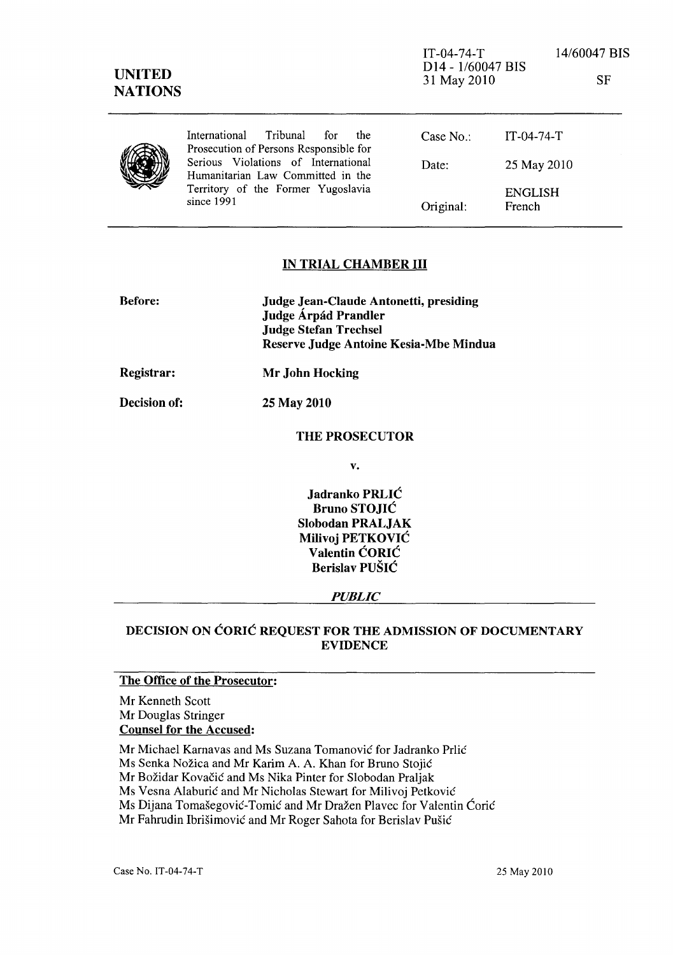## IN TRIAL CHAMBER **III**

Original:

ENGLISH French

| <b>Before:</b>    | Judge Jean-Claude Antonetti, presiding<br>Judge Árpád Prandler         |
|-------------------|------------------------------------------------------------------------|
|                   | <b>Judge Stefan Trechsel</b><br>Reserve Judge Antoine Kesia-Mbe Mindua |
| <b>Registrar:</b> | Mr John Hocking                                                        |

Decision of: 2S May 2010

since 1991

#### THE PROSECUTOR

v.

Jadranko PRLIC Bruno STOJIC Slobodan PRALJAK Milivoj PETKOVIC Valentin CORIC Berislav PUSIC

#### *PUBLIC*

## DECISION ON CORIC REQUEST FOR THE ADMISSION OF DOCUMENTARY EVIDENCE

## The Office of the Prosecutor:

Mr Kenneth Scott Mr Douglas Stringer Counsel for the Accused:

Mr Michael Karnavas and Ms Suzana Tomanović for Jadranko Prlić Ms Senka Nožica and Mr Karim A. A. Khan for Bruno Stojić Mr Božidar Kovačić and Ms Nika Pinter for Slobodan Praljak Ms Vesna Alaburić and Mr Nicholas Stewart for Milivoj Petković Ms Dijana Tomašegović-Tomić and Mr Dražen Plavec for Valentin Ćorić Mr Fahrudin Ibrišimović and Mr Roger Sahota for Berislav Pušić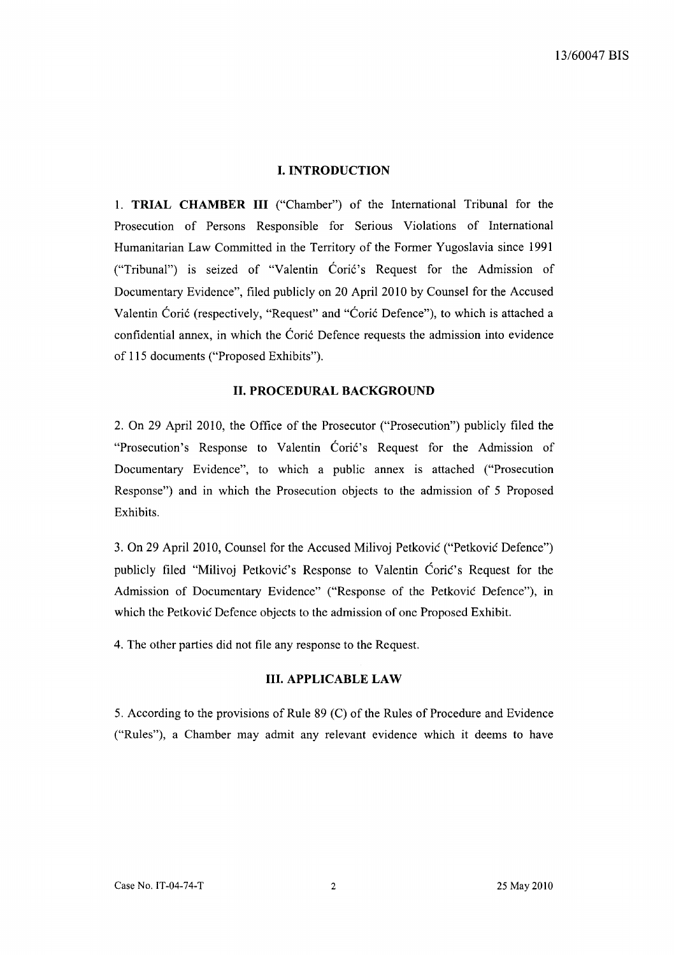### **I. INTRODUCTION**

1. **TRIAL CHAMBER III** ("Chamber") of the International Tribunal for the Prosecution of Persons Responsible for Serious Violations of International Humanitarian Law Committed in the Territory of the Former Yugoslavia since 1991 ("Tribunal") is seized of "Valentin Cori6's Request for the Admission of Documentary Evidence", filed publicly on 20 April 2010 by Counsel for the Accused Valentin Coric (respectively, "Request" and "Coric Defence"), to which is attached a confidential annex, in which the Coric Defence requests the admission into evidence of 115 documents ("Proposed Exhibits").

#### **11. PROCEDURAL BACKGROUND**

2. On 29 April 2010, the Office of the Prosecutor ("Prosecution") publicly filed the "Prosecution's Response to Valentin Coric's Request for the Admission of Documentary Evidence", to which a public annex is attached ("Prosecution Response") and in which the Prosecution objects to the admission of 5 Proposed Exhibits.

3. On 29 April 2010, Counsel for the Accused Milivoj Petkovic ("Petkovic Defence") publicly filed "Milivoj Petković's Response to Valentin Ćorić's Request for the Admission of Documentary Evidence" ("Response of the Petkovic Defence"), in which the Petkovic Defence objects to the admission of one Proposed Exhibit.

4. The other parties did not file any response to the Request.

#### **Ill. APPLICABLE LAW**

5. According to the provisions of Rule 89 (C) of the Rules of Procedure and Evidence ("Rules"), a Chamber may admit any relevant evidence which it deems to have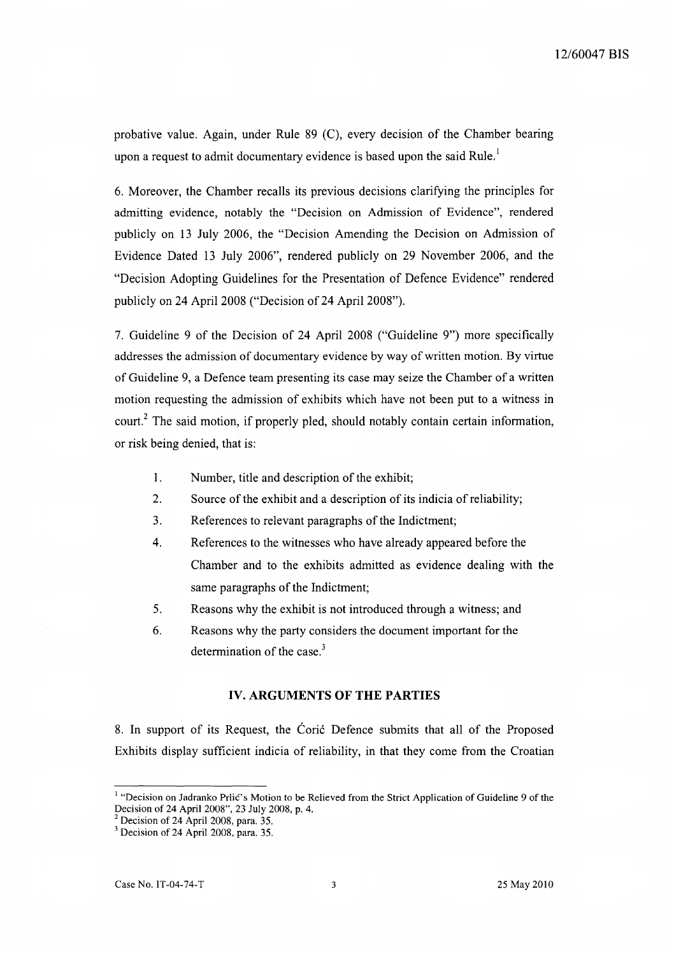probative value. Again, under Rule 89 (C), every decision of the Chamber bearing upon a request to admit documentary evidence is based upon the said Rule.<sup>1</sup>

6. Moreover, the Chamber recalls its previous decisions clarifying the principles for admitting evidence, notably the "Decision on Admission of Evidence", rendered publicly on 13 July 2006, the "Decision Amending the Decision on Admission of Evidence Dated 13 July 2006", rendered publicly on 29 November 2006, and the "Decision Adopting Guidelines for the Presentation of Defence Evidence" rendered publicly on 24 April 2008 ("Decision of 24 April 2008").

7. Guideline 9 of the Decision of 24 April 2008 ("Guideline 9") more specifically addresses the admission of documentary evidence by way of written motion. By virtue of Guideline 9, a Defence team presenting its case may seize the Chamber of a written motion requesting the admission of exhibits which have not been put to a witness in court.<sup>2</sup> The said motion, if properly pled, should notably contain certain information, or risk being denied, that is:

- I. Number, title and description of the exhibit;
- 2. Source of the exhibit and a description of its indicia of reliability;
- 3. References to relevant paragraphs of the Indictment;
- 4. References to the witnesses who have already appeared before the Chamber and to the exhibits admitted as evidence dealing with the same paragraphs of the Indictment;
- 5. Reasons why the exhibit is not introduced through a witness; and
- 6. Reasons why the party considers the document important for the determination of the case.<sup>3</sup>

#### **IV. ARGUMENTS OF THE PARTIES**

8. In support of its Request, the Coric Defence submits that all of the Proposed Exhibits display sufficient indicia of reliability, in that they come from the Croatian

<sup>&</sup>lt;sup>1</sup> "Decision on Jadranko Prlić's Motion to be Relieved from the Strict Application of Guideline 9 of the Decision of 24 April 2008", 23 July 2008, p. 4.

 $2$  Decision of 24 April 2008, para. 35.

 $3$  Decision of 24 April 2008, para. 35.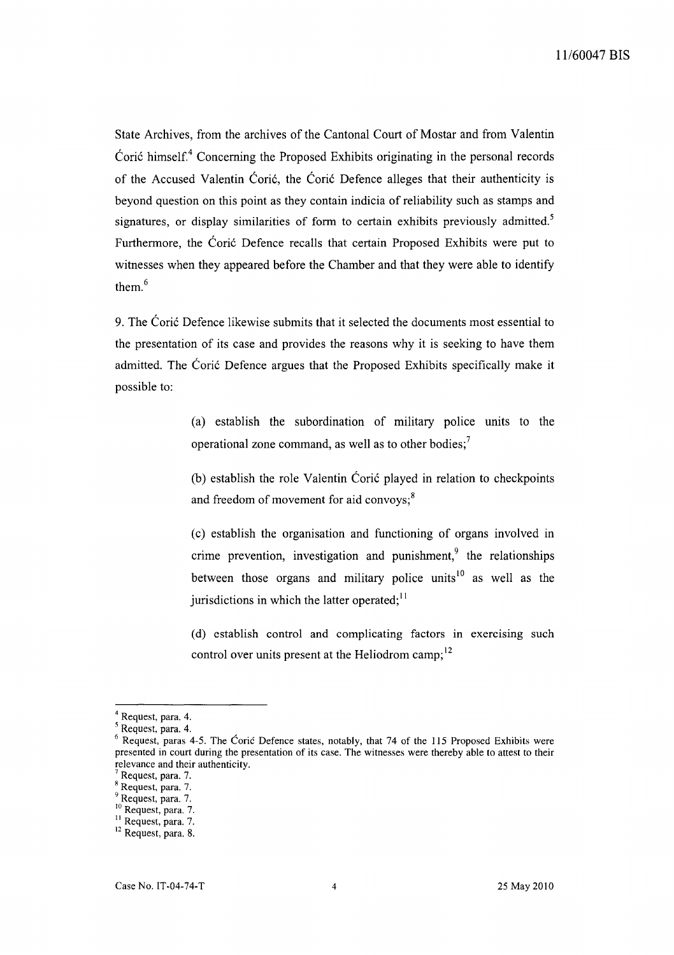State Archives, from the archives of the Cantonal Court of Mostar and from Valentin Coric himself.<sup>4</sup> Concerning the Proposed Exhibits originating in the personal records of the Accused Valentin Corie, the Corie Defence alleges that their authenticity is beyond question on this point as they contain indicia of reliability such as stamps and signatures, or display similarities of form to certain exhibits previously admitted.<sup>5</sup> Furthermore, the Coric Defence recalls that certain Proposed Exhibits were put to witnesses when they appeared before the Chamber and that they were able to identify them. <sup>6</sup>

9. The Coric Defence likewise submits that it selected the documents most essential to the presentation of its case and provides the reasons why it is seeking to have them admitted. The Coric Defence argues that the Proposed Exhibits specifically make it possible to:

> (a) establish the subordination of military police units to the operational zone command, as well as to other bodies;<sup>7</sup>

> (b) establish the role Valentin Corié played in relation to checkpoints and freedom of movement for aid convoys; $8<sup>8</sup>$

> (c) establish the organisation and functioning of organs involved in crime prevention, investigation and punishment, $\frac{9}{3}$  the relationships between those organs and military police units<sup>10</sup> as well as the jurisdictions in which the latter operated;  $\frac{11}{11}$

> (d) establish control and complicating factors in exercising such control over units present at the Heliodrom camp;<sup>12</sup>

<sup>4</sup> Request, para. 4.

<sup>5</sup> Request, para. 4.

 $6$  Request, paras 4-5. The Ćorić Defence states, notably, that 74 of the 115 Proposed Exhibits were presented in court during the presentation of its case. The witnesses were thereby able to attest to their relevance and their authenticity.

Request, para. 7.

<sup>8</sup> Request, para. 7.

<sup>&</sup>lt;sup>9</sup> Request, para. 7.

<sup>&</sup>lt;sup>10</sup> Request, para. 7.

<sup>&</sup>lt;sup>11</sup> Request, para. 7.

<sup>&</sup>lt;sup>12</sup> Request, para. 8.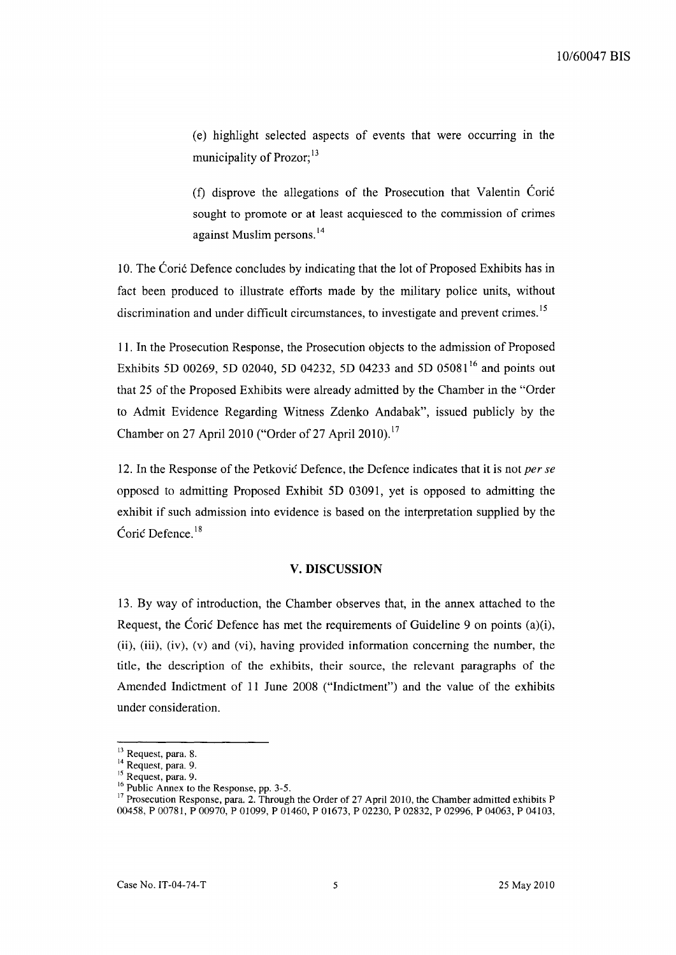(e) highlight selected aspects of events that were occurring in the municipality of  $Prozor;$ <sup>13</sup>

(t) disprove the allegations of the Prosecution that Valentin Cori6 sought to promote or at least acquiesced to the commission of crimes against Muslim persons. 14

10. The Cori6 Defence concludes by indicating that the lot of Proposed Exhibits has in fact been produced to illustrate efforts made by the military police units, without discrimination and under difficult circumstances, to investigate and prevent crimes.<sup>15</sup>

11. In the Prosecution Response, the Prosecution objects to the admission of Proposed Exhibits 5D 00269, 5D 02040, 5D 04232, 5D 04233 and 5D 05081<sup>16</sup> and points out that 25 of the Proposed Exhibits were already admitted by the Chamber in the "Order to Admit Evidence Regarding Witness Zdenko Andabak", issued publicly by the Chamber on 27 April 2010 ("Order of 27 April 2010).<sup>17</sup>

12. In the Response of the Petkovic Defence, the Defence indicates that it is not *per se*  opposed to admitting Proposed Exhibit 5D 03091, yet is opposed to admitting the exhibit if such admission into evidence is based on the interpretation supplied by the Coric Defence. IS

#### **V. DISCUSSION**

13. By way of introduction, the Chamber observes that, in the annex attached to the Request, the Coric Defence has met the requirements of Guideline 9 on points (a)(i), (ii), (iii), (iv), (v) and (vi), having provided information concerning the number, the title, the description of the exhibits, their source, the relevant paragraphs of the Amended Indictment of 11 June 2008 ("Indictment") and the value of the exhibits under consideration.

<sup>&</sup>lt;sup>13</sup> Request, para. 8.

<sup>&</sup>lt;sup>14</sup> Request, para. 9.

<sup>&</sup>lt;sup>15</sup> Request, para. 9.

<sup>&</sup>lt;sup>16</sup> Public Annex to the Response, pp. 3-5.

 $17$  Prosecution Response, para. 2. Through the Order of 27 April 2010, the Chamber admitted exhibits P 00458, P 00781, P 00970, P 01099, P 01460, P 01673, P 02230, P 02832, P 02996, P 04063, P 04103,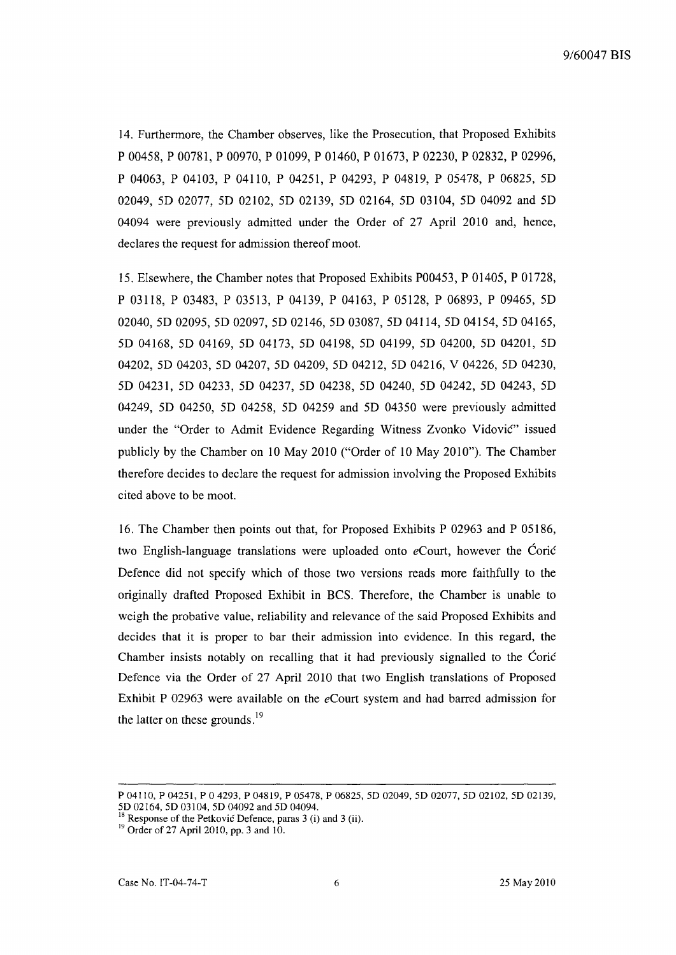14. Furthermore, the Chamber observes, like the Prosecution, that Proposed Exhibits P 00458, P 00781, P 00970, P 01099, P 01460, P 01673, P 02230, P 02832, P 02996, P 04063, P 04103, P 04110, P 04251, P 04293, P 04819, P 05478, P 06825, 50 02049, 5D 02077, 5D 02102, 5D 02139, 5D 02164, 5D 03104, 5D 04092 and 5D 04094 were previously admitted under the Order of 27 April 2010 and, hence, declares the request for admission thereof moot.

15. Elsewhere, the Chamber notes that Proposed Exhibits P00453, P 01405, P 01728, P 03118, P 03483, P 03513, P 04139, P 04163, P 05128, P 06893, P 09465, 50 02040, 5D 02095, 5D 02097, 5D 02146, 5D 03087, 5D 04114, 5D 04154, 5D 04165, 50 04168,50 04169,50 04173,50 04198,50 04199, 50 04200,50 04201,50 04202, 50 04203, 50 04207, 50 04209, 50 04212, 5004216, V 04226, 50 04230, 50 04231, 50 04233, 50 04237, 50 04238, 50 04240, 50 04242, 50 04243, 50 04249, 50 04250, 50 04258, 50 04259 and 50 04350 were previously admitted under the "Order to Admit Evidence Regarding Witness Zvonko Vidovie" issued publicly by the Chamber on 10 May 2010 ("Order of 10 May 20lO"). The Chamber therefore decides to declare the request for admission involving the Proposed Exhibits cited above to be moot.

16. The Chamber then points out that, for Proposed Exhibits P 02963 and P 05186, two English-language translations were uploaded onto *eCourt,* however the Corie Oefence did not specify which of those two versions reads more faithfully to the originally drafted Proposed Exhibit in BCS. Therefore, the Chamber is unable to weigh the probative value, reliability and relevance of the said Proposed Exhibits and decides that it is proper to bar their admission into evidence. In this regard, the Chamber insists notably on recalling that it had previously signalled to the Corie Defence via the Order of 27 April 2010 that two English translations of Proposed Exhibit P 02963 were available on the *eCourt* system and had barred admission for the latter on these grounds. $19$ 

P 04110, P 04251, P 0 4293, P 04819, P 05478, P 06825, 5D 02049, 5D 02077, 5D 02102, 5D 02139, 5D 02164, 5D 03104, 5D 04092 and 5D 04094.

 $18$  Response of the Petkovic Defence, paras 3 (i) and 3 (ii).

<sup>&</sup>lt;sup>19</sup> Order of 27 April 2010, pp. 3 and 10.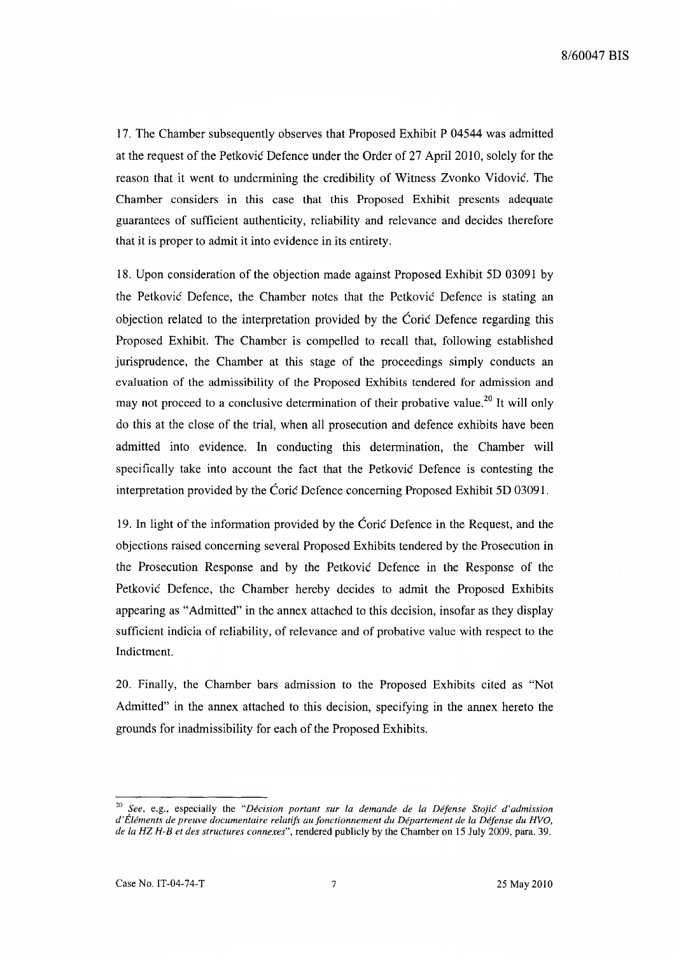17. The Chamber subsequently observes that Proposed Exhibit P 04544 was admitted at the request of the Petković Defence under the Order of 27 April 2010, solely for the reason that it went to undermining the credibility of Witness Zvonko Vidovie. The Chamber considers in this case that this Proposed Exhibit presents adequate guarantees of sufficient authenticity, reliability and relevance and decides therefore that it is proper to admit it into evidence in its entirety.

18. Upon consideration of the objection made against Proposed Exhibit 5D 03091 by the Petković Defence, the Chamber notes that the Petković Defence is stating an objection related to the interpretation provided by the Corie Defence regarding this Proposed Exhibit. The Chamber is compelled to recall that, following established jurisprudence, the Chamber at this stage of the proceedings simply conducts an evaluation of the admissibility of the Proposed Exhibits tendered for admission and may not proceed to a conclusive determination of their probative value.<sup>20</sup> It will only do this at the close of the trial, when all prosecution and defence exhibits have been admitted into evidence. In conducting this determination, the Chamber will specifically take into account the fact that the Petković Defence is contesting the interpretation provided by the Corie Defence concerning Proposed Exhibit 5D 03091.

19. In light of the information provided by the Corie Defence in the Request, and the objections raised concerning several Proposed Exhibits tendered by the Prosecution in the Prosecution Response and by the Petkovie Defence in the Response of the Petković Defence, the Chamber hereby decides to admit the Proposed Exhibits appearing as "Admitted" in the annex attached to this decision, insofar as they display sufficient indicia of reliability, of relevance and of probative value with respect to the Indictment.

20. Finally, the Chamber bars admission to the Proposed Exhibits cited as "Not Admitted" in the annex attached to this decision, specifying in the annex hereto the grounds for inadmissibility for each of the Proposed Exhibits.

<sup>20</sup>*See,* e.g., especially the *"Decision portant sur la demande de la Defense Stojic d'admission d'Elements de preuve documentaire relatifs aufonctionnement du Departement de la Defense du HVO, de la HZ H-B et des structures connexes",* rendered publicly by the Chamber on 15 July 2009, para. 39.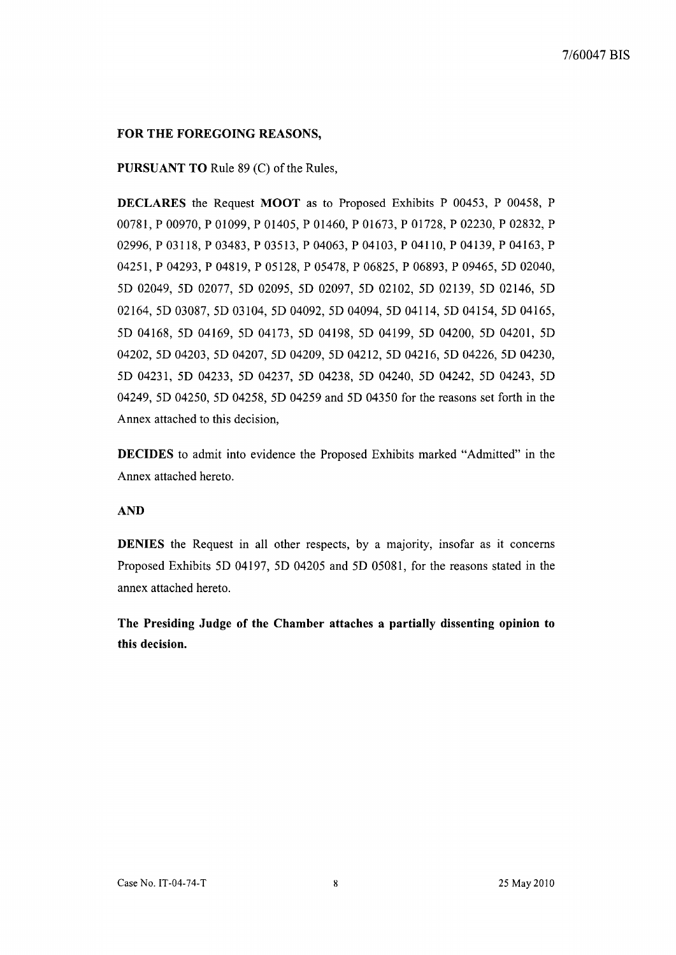## **FOR THE FOREGOING REASONS,**

### **PURSUANT TO** Rule 89 (C) of the Rules,

**DECLARES** the Request **MOOT** as to Proposed Exhibits P 00453, P 00458, P 00781, P 00970, P 01099, P 01405, P 01460, P 01673, P 01728, P 02230, P 02832, P 02996, P 03118, P 03483, P 03513, P 04063, P 04103, P 04110, P 04139, P 04163, P 04251, P 04293, P 04819, P 05128, P 05478, P 06825, P 06893, P 09465, 5D 02040, 5D 02049, 5D 02077, 5D 02095, 5D 02097, 5D 02102, 5D 02l39, 5D 02146, 5D 02164, 5D 03087, 5D 03104, 5D 04092, 5D 04094, 5D 04114, 5D 04154, 5D 04165, 5D 04168, 5D 04169, 5D 04173, 5D 04198, 5D 04199, 5D 04200, 5D 04201, 5D 04202, 5D 04203, 5D 04207, 5D 04209, 5D 04212, 5D 04216, 5D 04226, 5D 04230, 5D 04231, 5D 04233, 5D 04237, 5D 04238, 5D 04240, 5D 04242, 5D 04243, 5D 04249, 5D 04250, 5D 04258, 5D 04259 and 5D 04350 for the reasons set forth in the Annex attached to this decision,

**DECIDES** to admit into evidence the Proposed Exhibits marked "Admitted" in the Annex attached hereto.

#### **AND**

**DENIES** the Request in all other respects, by a majority, insofar as it concerns Proposed Exhibits 5D 04197, 5D 04205 and 5D 05081, for the reasons stated in the annex attached hereto.

**The Presiding Judge of the Chamber attaches a partially dissenting opinion to this decision.**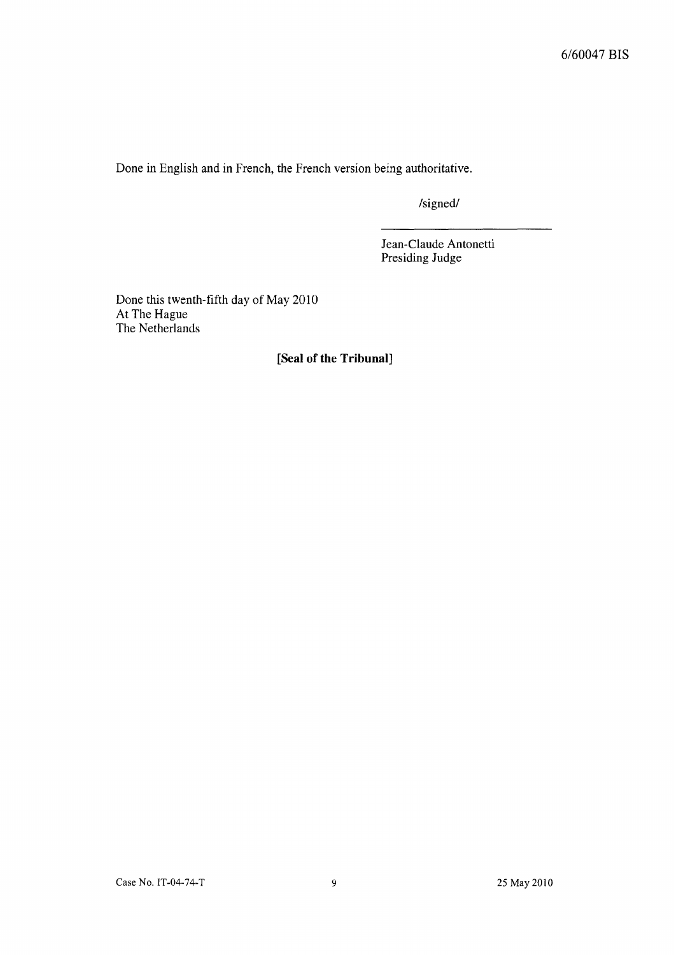Done in English and in French, the French version being authoritative.

/signed/

Jean-Claude Antonetti Presiding Judge

Done this twenth-fifth day of May 2010 At The Hague The Netherlands

**[Seal of the Tribunal]**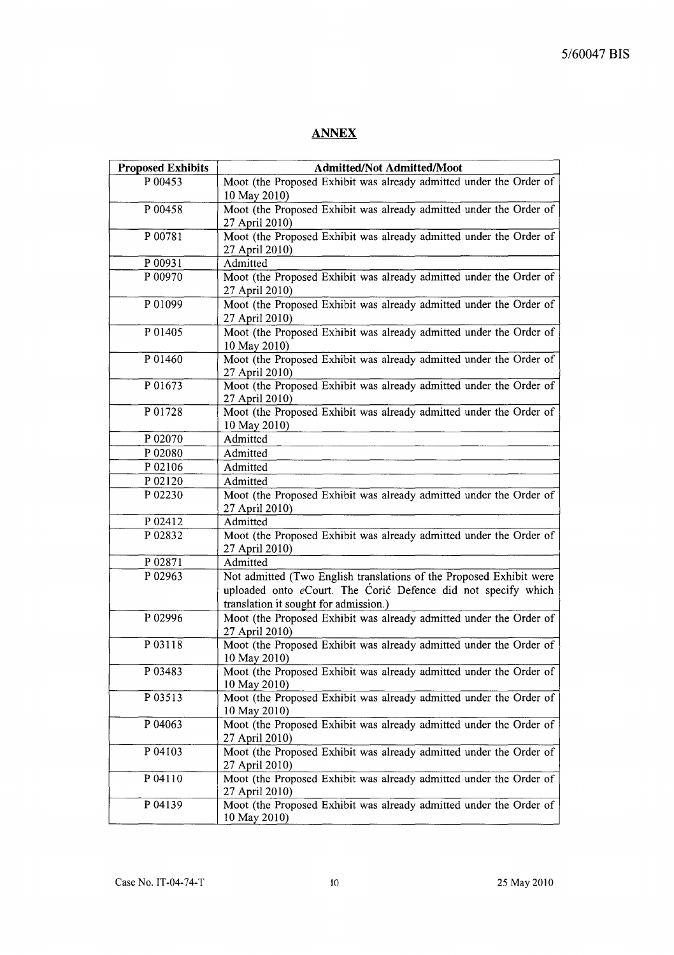## **ANNEX**

| <b>Proposed Exhibits</b> | <b>Admitted/Not Admitted/Moot</b>                                                  |
|--------------------------|------------------------------------------------------------------------------------|
| P 00453                  | Moot (the Proposed Exhibit was already admitted under the Order of                 |
|                          | 10 May 2010)                                                                       |
| P 00458                  | Moot (the Proposed Exhibit was already admitted under the Order of                 |
|                          | 27 April 2010)                                                                     |
| P 00781                  | Moot (the Proposed Exhibit was already admitted under the Order of                 |
|                          | 27 April 2010)                                                                     |
| P 00931                  | Admitted                                                                           |
| P 00970                  | Moot (the Proposed Exhibit was already admitted under the Order of                 |
|                          | 27 April 2010)                                                                     |
| P 01099                  | Moot (the Proposed Exhibit was already admitted under the Order of                 |
|                          | 27 April 2010)                                                                     |
| P 01405                  | Moot (the Proposed Exhibit was already admitted under the Order of                 |
|                          | 10 May 2010)                                                                       |
| P 01460                  | Moot (the Proposed Exhibit was already admitted under the Order of                 |
|                          | 27 April 2010)                                                                     |
| P 01673                  | Moot (the Proposed Exhibit was already admitted under the Order of                 |
|                          | 27 April 2010)                                                                     |
| P 01728                  | Moot (the Proposed Exhibit was already admitted under the Order of                 |
|                          | 10 May 2010)                                                                       |
| P 02070                  | Admitted                                                                           |
| P 02080                  | Admitted                                                                           |
| P 02106                  | Admitted                                                                           |
| P 02120                  | Admitted                                                                           |
| P 02230                  | Moot (the Proposed Exhibit was already admitted under the Order of                 |
|                          | 27 April 2010)                                                                     |
| P 02412                  | Admitted                                                                           |
| P 02832                  | Moot (the Proposed Exhibit was already admitted under the Order of                 |
|                          | 27 April 2010)                                                                     |
| P 02871                  | Admitted                                                                           |
| P 02963                  | Not admitted (Two English translations of the Proposed Exhibit were                |
|                          | uploaded onto eCourt. The Corić Defence did not specify which                      |
|                          | translation it sought for admission.)                                              |
| P 02996                  | Moot (the Proposed Exhibit was already admitted under the Order of                 |
|                          | 27 April 2010)                                                                     |
| P 03118                  | Moot (the Proposed Exhibit was already admitted under the Order of                 |
|                          | 10 May 2010)                                                                       |
| P 03483                  | Moot (the Proposed Exhibit was already admitted under the Order of                 |
|                          | 10 May 2010)                                                                       |
| P 03513                  | Moot (the Proposed Exhibit was already admitted under the Order of                 |
|                          | 10 May 2010)                                                                       |
| P 04063                  | Moot (the Proposed Exhibit was already admitted under the Order of                 |
|                          | 27 April 2010)                                                                     |
| P 04103                  | Moot (the Proposed Exhibit was already admitted under the Order of                 |
|                          | 27 April 2010)                                                                     |
| P 04110                  | Moot (the Proposed Exhibit was already admitted under the Order of                 |
| P 04139                  | 27 April 2010)                                                                     |
|                          | Moot (the Proposed Exhibit was already admitted under the Order of<br>10 May 2010) |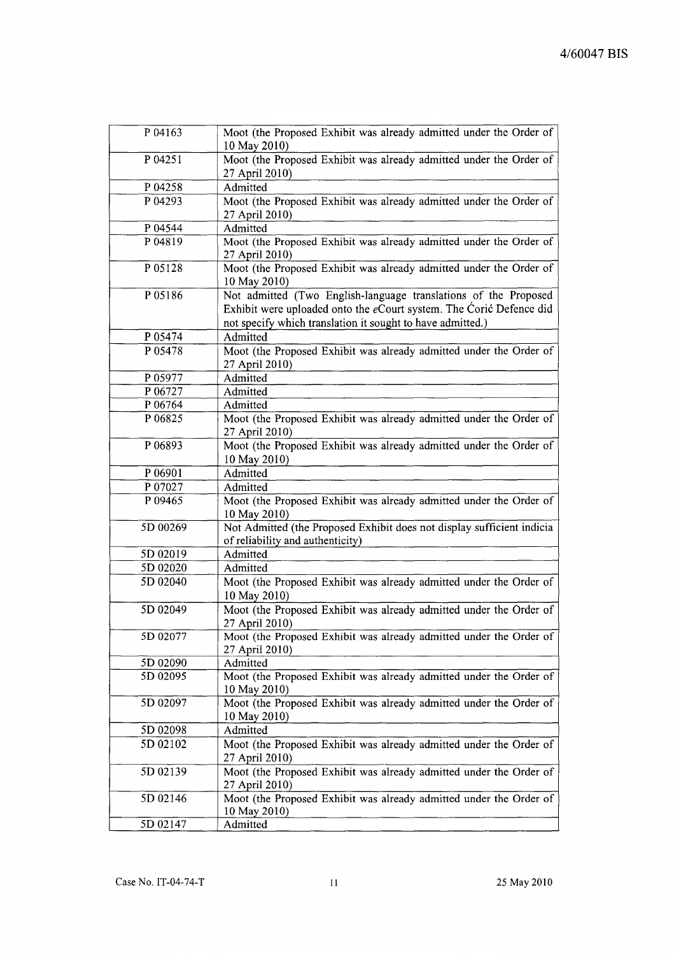| P 04163            | Moot (the Proposed Exhibit was already admitted under the Order of<br>10 May 2010)   |
|--------------------|--------------------------------------------------------------------------------------|
| P 04251            | Moot (the Proposed Exhibit was already admitted under the Order of<br>27 April 2010) |
| P 04258            | Admitted                                                                             |
| P 04293            | Moot (the Proposed Exhibit was already admitted under the Order of                   |
|                    | 27 April 2010)                                                                       |
| P 04544            | Admitted                                                                             |
| P 04819            | Moot (the Proposed Exhibit was already admitted under the Order of                   |
|                    | 27 April 2010)                                                                       |
| P 05128            | Moot (the Proposed Exhibit was already admitted under the Order of                   |
|                    | 10 May 2010)                                                                         |
| P 05186            | Not admitted (Two English-language translations of the Proposed                      |
|                    | Exhibit were uploaded onto the eCourt system. The Corić Defence did                  |
|                    | not specify which translation it sought to have admitted.)                           |
| P 05474            | Admitted                                                                             |
| P <sub>05478</sub> | Moot (the Proposed Exhibit was already admitted under the Order of                   |
| P 05977            | 27 April 2010)<br>Admitted                                                           |
| P 06727            | Admitted                                                                             |
| P 06764            | Admitted                                                                             |
| P 06825            | Moot (the Proposed Exhibit was already admitted under the Order of                   |
|                    | 27 April 2010)                                                                       |
| P 06893            | Moot (the Proposed Exhibit was already admitted under the Order of                   |
|                    | 10 May 2010)                                                                         |
| P 06901            | Admitted                                                                             |
| P 07027            | Admitted                                                                             |
| P 09465            | Moot (the Proposed Exhibit was already admitted under the Order of                   |
|                    | 10 May 2010)                                                                         |
| 5D 00269           | Not Admitted (the Proposed Exhibit does not display sufficient indicial              |
| 5D 02019           | of reliability and authenticity)<br>Admitted                                         |
| 5D 02020           | Admitted                                                                             |
| 5D 02040           | Moot (the Proposed Exhibit was already admitted under the Order of                   |
|                    | 10 May 2010)                                                                         |
| 5D 02049           | Moot (the Proposed Exhibit was already admitted under the Order of                   |
|                    | 27 April 2010)                                                                       |
| 5D 02077           | Moot (the Proposed Exhibit was already admitted under the Order of                   |
|                    | 27 April 2010)                                                                       |
| 5D 02090           | Admitted                                                                             |
| 5D 02095           | Moot (the Proposed Exhibit was already admitted under the Order of                   |
|                    | 10 May 2010)                                                                         |
| 5D 02097           | Moot (the Proposed Exhibit was already admitted under the Order of                   |
| 5D 02098           | 10 May 2010)<br>Admitted                                                             |
| 5D 02102           | Moot (the Proposed Exhibit was already admitted under the Order of                   |
|                    | 27 April 2010)                                                                       |
| 5D 02139           | Moot (the Proposed Exhibit was already admitted under the Order of                   |
|                    | 27 April 2010)                                                                       |
| 5D 02146           | Moot (the Proposed Exhibit was already admitted under the Order of                   |
|                    | 10 May 2010)                                                                         |
| 5D 02147           | Admitted                                                                             |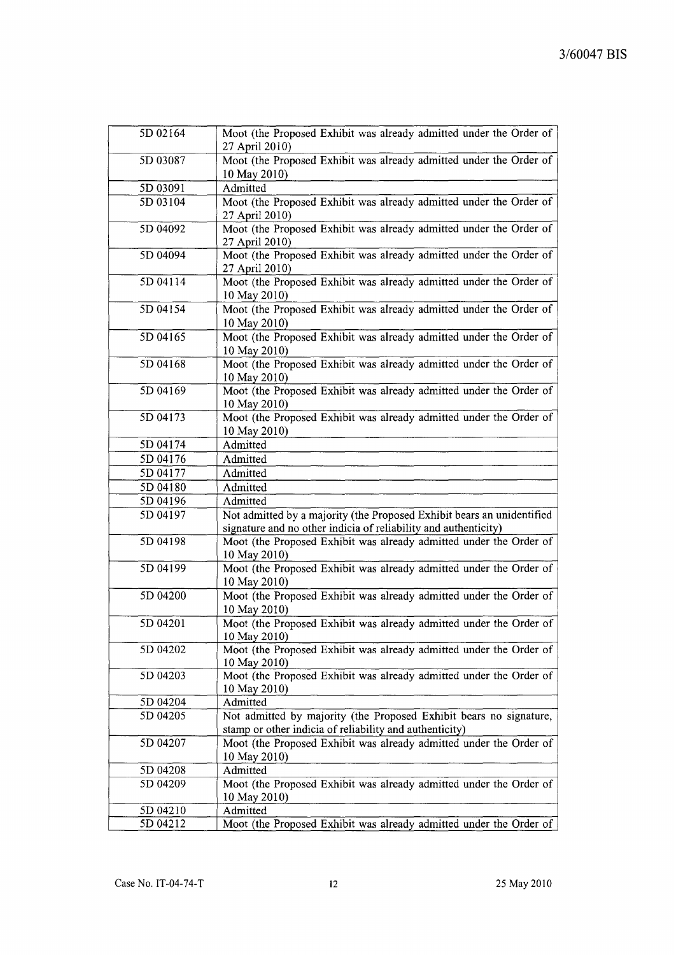| 5D 02164             | Moot (the Proposed Exhibit was already admitted under the Order of<br>27 April 2010) |
|----------------------|--------------------------------------------------------------------------------------|
| 5D 03087             | Moot (the Proposed Exhibit was already admitted under the Order of<br>10 May 2010)   |
| 5D 03091             | Admitted                                                                             |
| 5D 03104             | Moot (the Proposed Exhibit was already admitted under the Order of                   |
|                      | 27 April 2010)                                                                       |
| 5D 04092             | Moot (the Proposed Exhibit was already admitted under the Order of                   |
|                      | 27 April 2010)                                                                       |
| 5D 04094             | Moot (the Proposed Exhibit was already admitted under the Order of                   |
|                      | 27 April 2010)                                                                       |
| $\overline{5D04114}$ | Moot (the Proposed Exhibit was already admitted under the Order of                   |
|                      | 10 May 2010)                                                                         |
| 5D 04154             | Moot (the Proposed Exhibit was already admitted under the Order of                   |
|                      | 10 May 2010)                                                                         |
| 5D 04165             | Moot (the Proposed Exhibit was already admitted under the Order of                   |
|                      | 10 May 2010)                                                                         |
| 5D 04168             | Moot (the Proposed Exhibit was already admitted under the Order of                   |
| 5D 04169             | 10 May 2010)<br>Moot (the Proposed Exhibit was already admitted under the Order of   |
|                      | 10 May 2010)                                                                         |
| 5D 04173             | Moot (the Proposed Exhibit was already admitted under the Order of                   |
|                      | 10 May 2010)                                                                         |
| 5D 04174             | Admitted                                                                             |
| 5D 04176             | Admitted                                                                             |
| 5D 04177             | Admitted                                                                             |
| 5D 04180             | Admitted                                                                             |
| 5D 04196             | Admitted                                                                             |
| 5D 04197             | Not admitted by a majority (the Proposed Exhibit bears an unidentified               |
|                      | signature and no other indicia of reliability and authenticity)                      |
| 5D 04198             | Moot (the Proposed Exhibit was already admitted under the Order of                   |
|                      | 10 May 2010)                                                                         |
| 5D 04199             | Moot (the Proposed Exhibit was already admitted under the Order of                   |
|                      | 10 May 2010)                                                                         |
| 5D 04200             | Moot (the Proposed Exhibit was already admitted under the Order of                   |
|                      | 10 May 2010)                                                                         |
| 5D 04201             | Moot (the Proposed Exhibit was already admitted under the Order of                   |
| 5D 04202             | 10 May 2010)<br>Moot (the Proposed Exhibit was already admitted under the Order of   |
|                      | 10 May 2010)                                                                         |
| 5D 04203             | Moot (the Proposed Exhibit was already admitted under the Order of                   |
|                      | 10 May 2010)                                                                         |
| 5D 04204             | Admitted                                                                             |
| 5D 04205             | Not admitted by majority (the Proposed Exhibit bears no signature,                   |
|                      | stamp or other indicia of reliability and authenticity)                              |
| 5D 04207             | Moot (the Proposed Exhibit was already admitted under the Order of                   |
|                      | 10 May 2010)                                                                         |
| 5D 04208             | Admitted                                                                             |
| 5D 04209             | Moot (the Proposed Exhibit was already admitted under the Order of                   |
|                      | 10 May 2010)                                                                         |
| 5D 04210             | Admitted                                                                             |
| 5D 04212             | Moot (the Proposed Exhibit was already admitted under the Order of                   |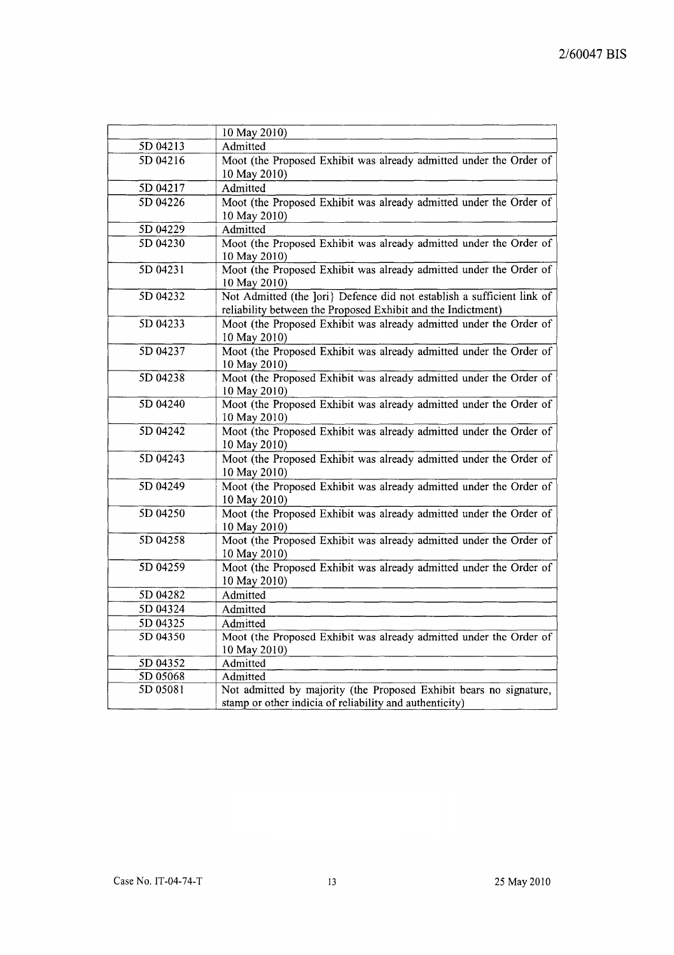|          | 10 May 2010)                                                                       |
|----------|------------------------------------------------------------------------------------|
| 5D 04213 | Admitted                                                                           |
| 5D 04216 | Moot (the Proposed Exhibit was already admitted under the Order of                 |
|          | 10 May 2010)                                                                       |
| 5D 04217 | Admitted                                                                           |
| 5D 04226 | Moot (the Proposed Exhibit was already admitted under the Order of                 |
|          | 10 May 2010)                                                                       |
| 5D 04229 | Admitted                                                                           |
| 5D 04230 | Moot (the Proposed Exhibit was already admitted under the Order of                 |
|          | 10 May 2010)                                                                       |
| 5D 04231 | Moot (the Proposed Exhibit was already admitted under the Order of                 |
|          | 10 May 2010)                                                                       |
| 5D 04232 | Not Admitted (the ]ori} Defence did not establish a sufficient link of             |
|          | reliability between the Proposed Exhibit and the Indictment)                       |
| 5D 04233 | Moot (the Proposed Exhibit was already admitted under the Order of                 |
|          | 10 May 2010)                                                                       |
| 5D 04237 | Moot (the Proposed Exhibit was already admitted under the Order of                 |
|          | 10 May 2010)                                                                       |
| 5D 04238 | Moot (the Proposed Exhibit was already admitted under the Order of                 |
|          | 10 May 2010)                                                                       |
| 5D 04240 | Moot (the Proposed Exhibit was already admitted under the Order of                 |
|          | 10 May 2010)                                                                       |
| 5D 04242 | Moot (the Proposed Exhibit was already admitted under the Order of                 |
| 5D 04243 | 10 May 2010)<br>Moot (the Proposed Exhibit was already admitted under the Order of |
|          | 10 May 2010)                                                                       |
| 5D 04249 | Moot (the Proposed Exhibit was already admitted under the Order of                 |
|          | 10 May 2010)                                                                       |
| 5D 04250 | Moot (the Proposed Exhibit was already admitted under the Order of                 |
|          | 10 May 2010)                                                                       |
| 5D 04258 | Moot (the Proposed Exhibit was already admitted under the Order of                 |
|          | 10 May 2010)                                                                       |
| 5D 04259 | Moot (the Proposed Exhibit was already admitted under the Order of                 |
|          | 10 May 2010)                                                                       |
| 5D 04282 | Admitted                                                                           |
| 5D 04324 | Admitted                                                                           |
| 5D 04325 | Admitted                                                                           |
| 5D 04350 | Moot (the Proposed Exhibit was already admitted under the Order of                 |
|          | 10 May 2010)                                                                       |
| 5D 04352 | Admitted                                                                           |
| 5D 05068 | Admitted                                                                           |
| 5D 05081 | Not admitted by majority (the Proposed Exhibit bears no signature,                 |
|          | stamp or other indicia of reliability and authenticity)                            |